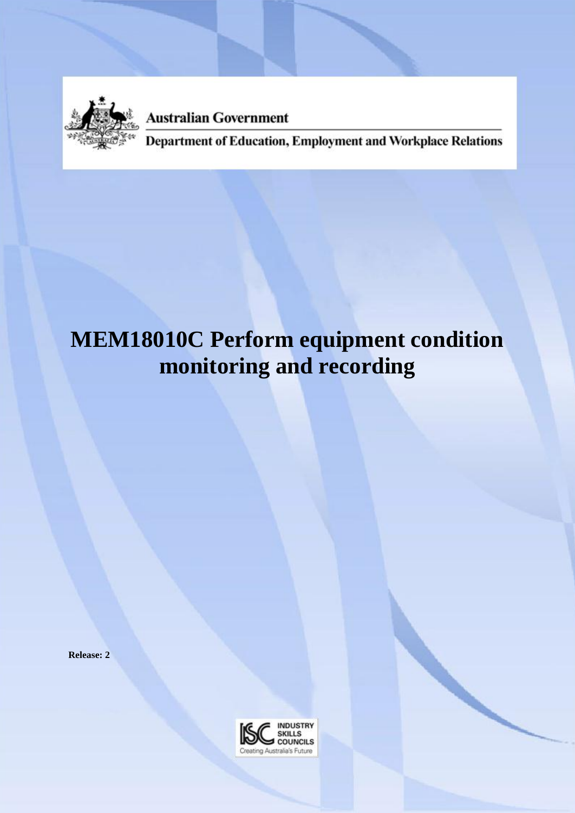

**Australian Government** 

Department of Education, Employment and Workplace Relations

# **MEM18010C Perform equipment condition monitoring and recording**

**Release: 2**

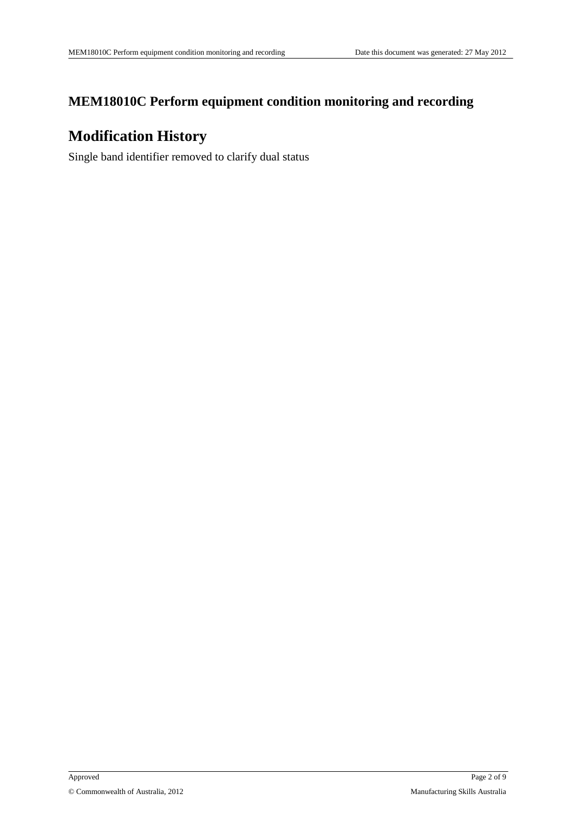### **MEM18010C Perform equipment condition monitoring and recording**

### **Modification History**

Single band identifier removed to clarify dual status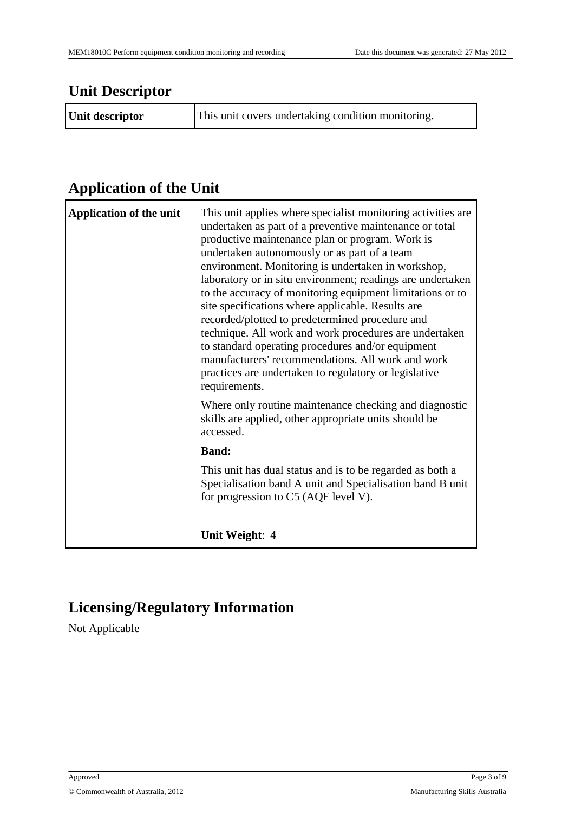## **Unit Descriptor**

| Unit descriptor | This unit covers undertaking condition monitoring. |
|-----------------|----------------------------------------------------|
|                 |                                                    |

# **Application of the Unit**

| <b>Application of the unit</b> | This unit applies where specialist monitoring activities are<br>undertaken as part of a preventive maintenance or total<br>productive maintenance plan or program. Work is<br>undertaken autonomously or as part of a team<br>environment. Monitoring is undertaken in workshop,<br>laboratory or in situ environment; readings are undertaken<br>to the accuracy of monitoring equipment limitations or to<br>site specifications where applicable. Results are<br>recorded/plotted to predetermined procedure and<br>technique. All work and work procedures are undertaken<br>to standard operating procedures and/or equipment<br>manufacturers' recommendations. All work and work<br>practices are undertaken to regulatory or legislative<br>requirements. |
|--------------------------------|-------------------------------------------------------------------------------------------------------------------------------------------------------------------------------------------------------------------------------------------------------------------------------------------------------------------------------------------------------------------------------------------------------------------------------------------------------------------------------------------------------------------------------------------------------------------------------------------------------------------------------------------------------------------------------------------------------------------------------------------------------------------|
|                                | Where only routine maintenance checking and diagnostic<br>skills are applied, other appropriate units should be<br>accessed.                                                                                                                                                                                                                                                                                                                                                                                                                                                                                                                                                                                                                                      |
|                                | <b>Band:</b>                                                                                                                                                                                                                                                                                                                                                                                                                                                                                                                                                                                                                                                                                                                                                      |
|                                | This unit has dual status and is to be regarded as both a<br>Specialisation band A unit and Specialisation band B unit<br>for progression to C5 (AQF level V).                                                                                                                                                                                                                                                                                                                                                                                                                                                                                                                                                                                                    |
|                                | Unit Weight: 4                                                                                                                                                                                                                                                                                                                                                                                                                                                                                                                                                                                                                                                                                                                                                    |

# **Licensing/Regulatory Information**

Not Applicable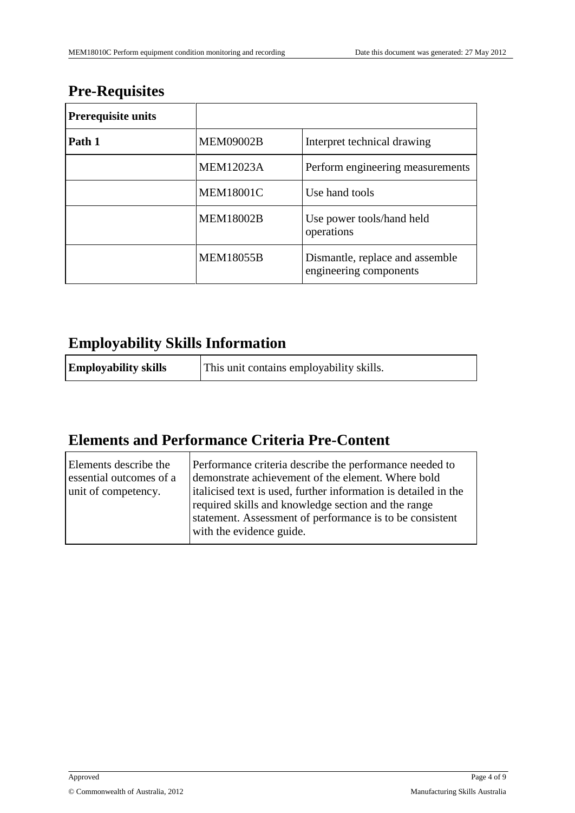## **Pre-Requisites**

| <b>Prerequisite units</b> |                  |                                                           |
|---------------------------|------------------|-----------------------------------------------------------|
| Path 1                    | <b>MEM09002B</b> | Interpret technical drawing                               |
|                           | <b>MEM12023A</b> | Perform engineering measurements                          |
|                           | <b>MEM18001C</b> | Use hand tools                                            |
|                           | <b>MEM18002B</b> | Use power tools/hand held<br>operations                   |
|                           | <b>MEM18055B</b> | Dismantle, replace and assemble<br>engineering components |

## **Employability Skills Information**

| <b>Employability skills</b> | This unit contains employability skills. |
|-----------------------------|------------------------------------------|
|-----------------------------|------------------------------------------|

# **Elements and Performance Criteria Pre-Content**

| Elements describe the<br>essential outcomes of a<br>unit of competency. | Performance criteria describe the performance needed to<br>demonstrate achievement of the element. Where bold<br>italicised text is used, further information is detailed in the<br>required skills and knowledge section and the range<br>statement. Assessment of performance is to be consistent<br>with the evidence guide. |
|-------------------------------------------------------------------------|---------------------------------------------------------------------------------------------------------------------------------------------------------------------------------------------------------------------------------------------------------------------------------------------------------------------------------|
|                                                                         |                                                                                                                                                                                                                                                                                                                                 |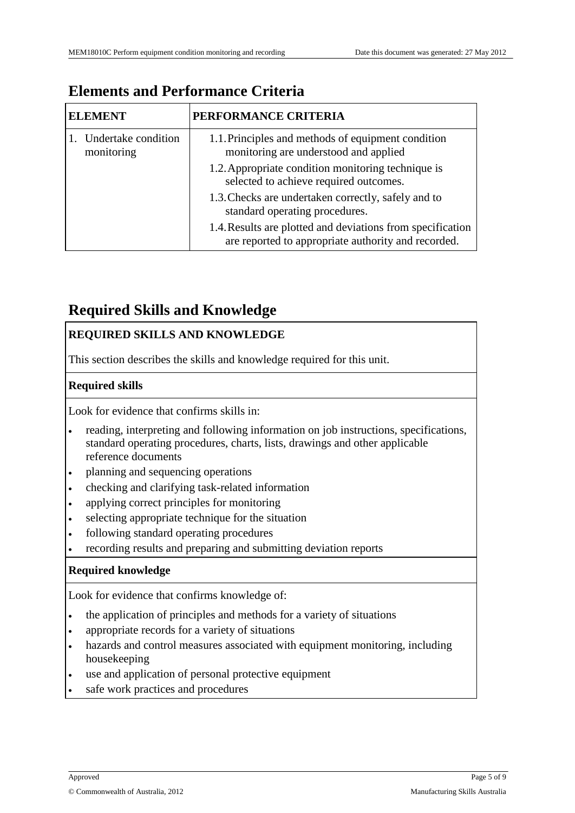| <b>ELEMENT</b>                    | PERFORMANCE CRITERIA                                                                                              |
|-----------------------------------|-------------------------------------------------------------------------------------------------------------------|
| Undertake condition<br>monitoring | 1.1. Principles and methods of equipment condition<br>monitoring are understood and applied                       |
|                                   | 1.2. Appropriate condition monitoring technique is<br>selected to achieve required outcomes.                      |
|                                   | 1.3. Checks are undertaken correctly, safely and to<br>standard operating procedures.                             |
|                                   | 1.4. Results are plotted and deviations from specification<br>are reported to appropriate authority and recorded. |

### **Elements and Performance Criteria**

### **Required Skills and Knowledge**

#### **REQUIRED SKILLS AND KNOWLEDGE**

This section describes the skills and knowledge required for this unit.

#### **Required skills**

Look for evidence that confirms skills in:

- reading, interpreting and following information on job instructions, specifications, standard operating procedures, charts, lists, drawings and other applicable reference documents
- planning and sequencing operations
- checking and clarifying task-related information
- applying correct principles for monitoring
- selecting appropriate technique for the situation
- following standard operating procedures
- recording results and preparing and submitting deviation reports

#### **Required knowledge**

Look for evidence that confirms knowledge of:

- the application of principles and methods for a variety of situations
- appropriate records for a variety of situations
- hazards and control measures associated with equipment monitoring, including housekeeping
- use and application of personal protective equipment
- safe work practices and procedures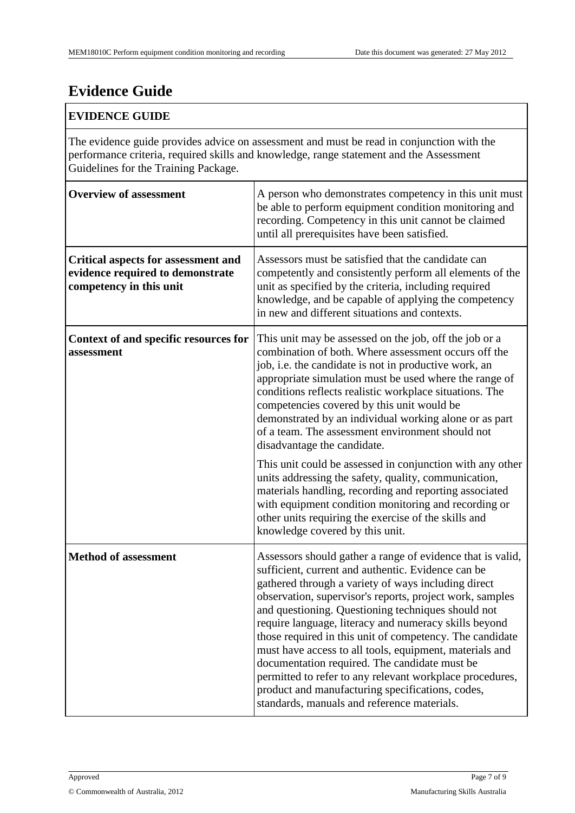# **Evidence Guide**

#### **EVIDENCE GUIDE**

The evidence guide provides advice on assessment and must be read in conjunction with the performance criteria, required skills and knowledge, range statement and the Assessment Guidelines for the Training Package.

| <b>Overview of assessment</b>                                                                             | A person who demonstrates competency in this unit must<br>be able to perform equipment condition monitoring and<br>recording. Competency in this unit cannot be claimed<br>until all prerequisites have been satisfied.                                                                                                                                                                                                                                                                                                                                                                                                                                                                   |
|-----------------------------------------------------------------------------------------------------------|-------------------------------------------------------------------------------------------------------------------------------------------------------------------------------------------------------------------------------------------------------------------------------------------------------------------------------------------------------------------------------------------------------------------------------------------------------------------------------------------------------------------------------------------------------------------------------------------------------------------------------------------------------------------------------------------|
| <b>Critical aspects for assessment and</b><br>evidence required to demonstrate<br>competency in this unit | Assessors must be satisfied that the candidate can<br>competently and consistently perform all elements of the<br>unit as specified by the criteria, including required<br>knowledge, and be capable of applying the competency<br>in new and different situations and contexts.                                                                                                                                                                                                                                                                                                                                                                                                          |
| Context of and specific resources for<br>assessment                                                       | This unit may be assessed on the job, off the job or a<br>combination of both. Where assessment occurs off the<br>job, i.e. the candidate is not in productive work, an<br>appropriate simulation must be used where the range of<br>conditions reflects realistic workplace situations. The<br>competencies covered by this unit would be<br>demonstrated by an individual working alone or as part<br>of a team. The assessment environment should not<br>disadvantage the candidate.                                                                                                                                                                                                   |
|                                                                                                           | This unit could be assessed in conjunction with any other<br>units addressing the safety, quality, communication,<br>materials handling, recording and reporting associated<br>with equipment condition monitoring and recording or<br>other units requiring the exercise of the skills and<br>knowledge covered by this unit.                                                                                                                                                                                                                                                                                                                                                            |
| <b>Method of assessment</b>                                                                               | Assessors should gather a range of evidence that is valid,<br>sufficient, current and authentic. Evidence can be<br>gathered through a variety of ways including direct<br>observation, supervisor's reports, project work, samples<br>and questioning. Questioning techniques should not<br>require language, literacy and numeracy skills beyond<br>those required in this unit of competency. The candidate<br>must have access to all tools, equipment, materials and<br>documentation required. The candidate must be<br>permitted to refer to any relevant workplace procedures,<br>product and manufacturing specifications, codes,<br>standards, manuals and reference materials. |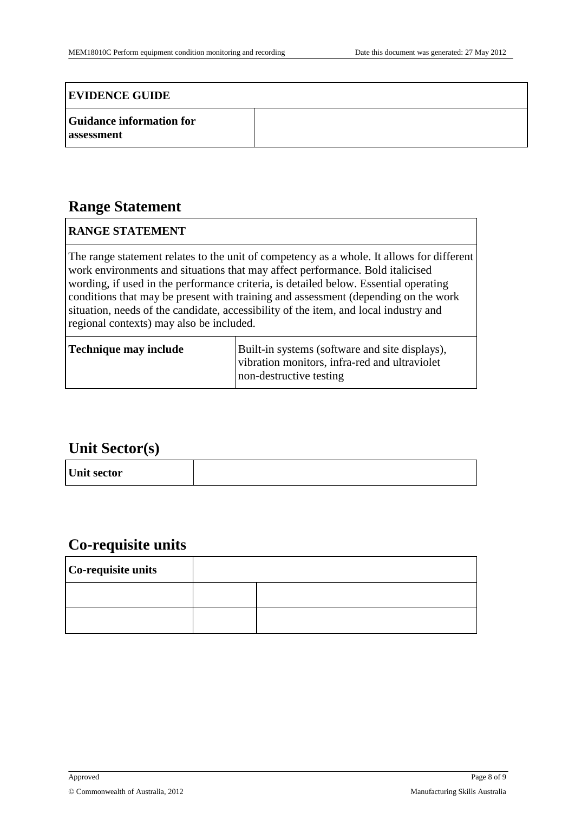#### **EVIDENCE GUIDE**

| <b>Guidance information for</b> |  |
|---------------------------------|--|
| assessment                      |  |

### **Range Statement**

#### **RANGE STATEMENT**

The range statement relates to the unit of competency as a whole. It allows for different work environments and situations that may affect performance. Bold italicised wording, if used in the performance criteria, is detailed below. Essential operating conditions that may be present with training and assessment (depending on the work situation, needs of the candidate, accessibility of the item, and local industry and regional contexts) may also be included.

| Technique may include | Built-in systems (software and site displays),<br>vibration monitors, infra-red and ultraviolet |
|-----------------------|-------------------------------------------------------------------------------------------------|
|                       | non-destructive testing                                                                         |

### **Unit Sector(s)**

| Unit sector |  |
|-------------|--|
|-------------|--|

### **Co-requisite units**

| Co-requisite units |  |  |
|--------------------|--|--|
|                    |  |  |
|                    |  |  |